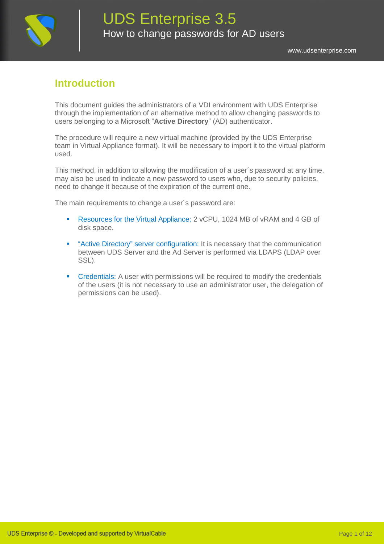

### **Introduction**

This document guides the administrators of a VDI environment with UDS Enterprise through the implementation of an alternative method to allow changing passwords to users belonging to a Microsoft "**Active Directory**" (AD) authenticator.

The procedure will require a new virtual machine (provided by the UDS Enterprise team in Virtual Appliance format). It will be necessary to import it to the virtual platform used.

This method, in addition to allowing the modification of a user´s password at any time, may also be used to indicate a new password to users who, due to security policies, need to change it because of the expiration of the current one.

The main requirements to change a user´s password are:

- Resources for the Virtual Appliance: 2 vCPU, 1024 MB of vRAM and 4 GB of disk space.
- **•** "Active Directory" server configuration: It is necessary that the communication between UDS Server and the Ad Server is performed via LDAPS (LDAP over SSL).
- **•** Credentials: A user with permissions will be required to modify the credentials of the users (it is not necessary to use an administrator user, the delegation of permissions can be used).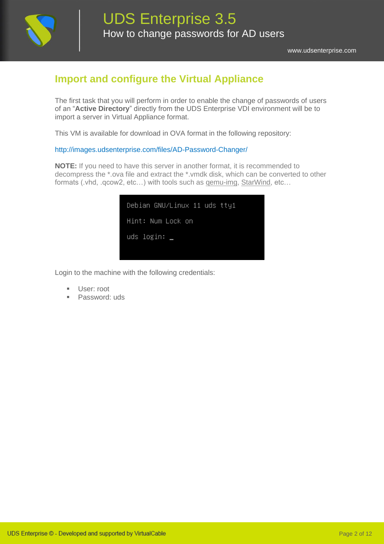

### **Import and configure the Virtual Appliance**

The first task that you will perform in order to enable the change of passwords of users of an "**Active Directory**" directly from the UDS Enterprise VDI environment will be to import a server in Virtual Appliance format.

This VM is available for download in OVA format in the following repository:

#### <http://images.udsenterprise.com/files/AD-Password-Changer/>

**NOTE:** If you need to have this server in another format, it is recommended to decompress the \*.ova file and extract the \*.vmdk disk, which can be converted to other formats (.vhd, .qcow2, etc…) with tools such as [qemu-img,](https://cloudbase.it/qemu-img-windows/) [StarWind,](https://www.starwindsoftware.com/starwind-v2v-converter) etc…

| Debian GNU/Linux 11 uds tty1 |  |
|------------------------------|--|
| Hint: Num Lock on            |  |
| uds login: _                 |  |
|                              |  |

Login to the machine with the following credentials:

- User: root
- Password: uds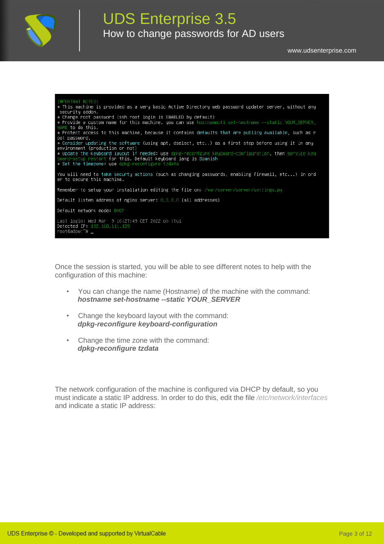



Once the session is started, you will be able to see different notes to help with the configuration of this machine:

- You can change the name (Hostname) of the machine with the command: *hostname set-hostname --static YOUR\_SERVER*
- Change the keyboard layout with the command: *dpkg-reconfigure keyboard-configuration*
- Change the time zone with the command: *dpkg-reconfigure tzdata*

The network configuration of the machine is configured via DHCP by default, so you must indicate a static IP address. In order to do this, edit the file */etc/network/interfaces* and indicate a static IP address: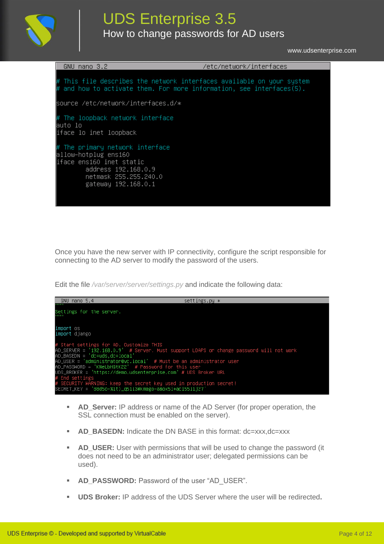

# UDS Enterprise 3.5

How to change passwords for AD users

[www.udsenterprise.com](http://www.udsenterprise.com/)

| GNU nano 3.2                                                                                                                                                | /etc/network/interfaces |
|-------------------------------------------------------------------------------------------------------------------------------------------------------------|-------------------------|
| #<br>This file describes the network interfaces available on your system<br>and how to activate them. For more information, see interfaces(5).              |                         |
| source /etc/network/interfaces.d/*                                                                                                                          |                         |
| # The loopback network interface<br>auto lo<br>iface lo inet loopback                                                                                       |                         |
| # The primary network interface<br>allow–hotplug ens160<br>liface ens160 inet static<br>address 192.168.0.9<br>netmask 255.255.240.0<br>gateway 192.168.0.1 |                         |

Once you have the new server with IP connectivity, configure the script responsible for connecting to the AD server to modify the password of the users.

Edit the file */var/server/server/settings.py* and indicate the following data:



- **EXED\_Server:** IP address or name of the AD Server (for proper operation, the SSL connection must be enabled on the server).
- **AD\_BASEDN:** Indicate the DN BASE in this format: dc=xxx,dc=xxx
- AD\_USER: User with permissions that will be used to change the password (it does not need to be an administrator user; delegated permissions can be used).
- AD PASSWORD: Password of the user "AD\_USER".
- **UDS Broker:** IP address of the UDS Server where the user will be redirected.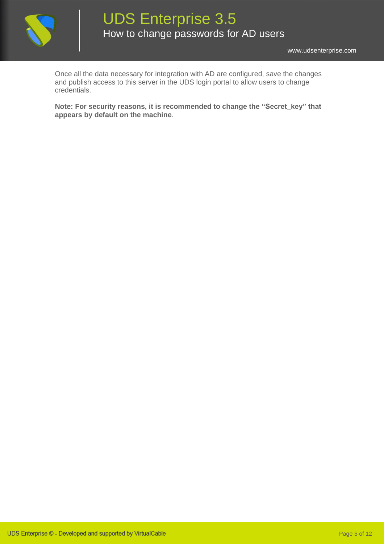

Once all the data necessary for integration with AD are configured, save the changes and publish access to this server in the UDS login portal to allow users to change credentials.

**Note: For security reasons, it is recommended to change the "Secret\_key" that appears by default on the machine**.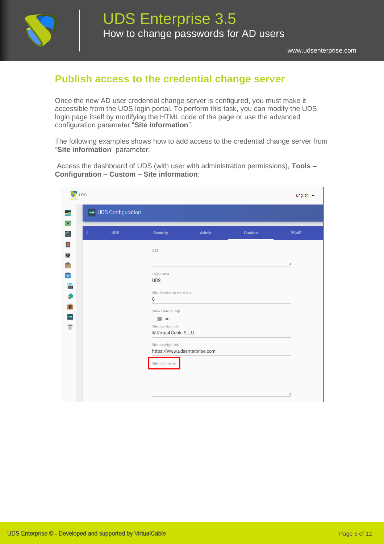

### **Publish access to the credential change server**

Once the new AD user credential change server is configured, you must make it accessible from the UDS login portal. To perform this task, you can modify the UDS login page itself by modifying the HTML code of the page or use the advanced configuration parameter "**Site information**".

The following examples shows how to add access to the credential change server from "**Site information**" parameter:

Access the dashboard of UDS (with user with administration permissions), **Tools – Configuration – Custom – Site information**:

| <b>V</b> UDS                                                                          |                          |                                                        |              |               | English $\blacktriangleright$ |
|---------------------------------------------------------------------------------------|--------------------------|--------------------------------------------------------|--------------|---------------|-------------------------------|
| e.                                                                                    | <b>UDS</b> Configuration |                                                        |              |               |                               |
| $\overline{\mathbf{u}}$<br>$\overline{\blacksquare}$<br>$\overline{\left( \right. }%$ | <b>UDS</b>               | <b>Security</b>                                        | <b>Admin</b> | <b>Custom</b> | <b>PCoIP</b>                  |
| B                                                                                     |                          | CSS                                                    |              |               |                               |
| $\bullet$<br>88                                                                       |                          | Logo name                                              |              |               | h                             |
| $\bullet$                                                                             |                          | <b>UDS</b><br>Min. Services to show filter             |              |               |                               |
| ð<br>Ū.                                                                               |                          | 8                                                      |              |               |                               |
| $\blacksquare$<br>$\overline{\mathbb{G}}$                                             |                          | Show Filter on Top<br>$\Box$ no<br>Site copyright info |              |               |                               |
|                                                                                       |                          | © Virtual Cable S.L.U.<br>Site copyright link          |              |               |                               |
|                                                                                       |                          | https://www.udsenterprise.com                          |              |               |                               |
|                                                                                       |                          | Site information                                       |              |               |                               |
|                                                                                       |                          |                                                        |              |               | h                             |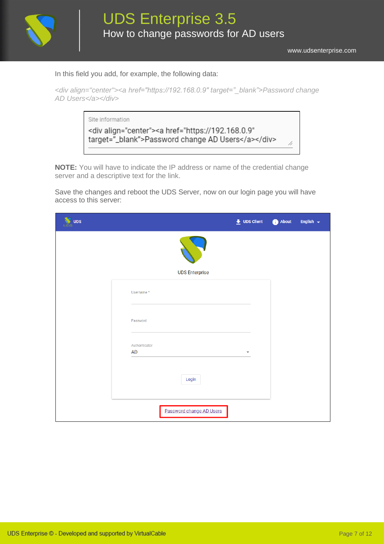

In this field you add, for example, the following data:

| <div align="center"><a href="https://192.168.0.9" target="_blank">Password change</a></div> |  |  |  |
|---------------------------------------------------------------------------------------------|--|--|--|
| AD Users                                                                                    |  |  |  |

| Site information                                                                                               |  |
|----------------------------------------------------------------------------------------------------------------|--|
| <div align="center"><a <br="" href="https://192.168.0.9">target="_blank"&gt;Password change AD Users</a></div> |  |
|                                                                                                                |  |

**NOTE:** You will have to indicate the IP address or name of the credential change server and a descriptive text for the link.

Save the changes and reboot the UDS Server, now on our login page you will have access to this server:

| <b>UDS</b> |                          | $\bigstar$ UDS Client | About | English $\sim$ |
|------------|--------------------------|-----------------------|-------|----------------|
|            |                          |                       |       |                |
|            | <b>UDS Enterprise</b>    |                       |       |                |
|            | Username*                |                       |       |                |
|            | Password                 |                       |       |                |
|            | Authenticator            |                       |       |                |
|            | AD                       | ▼                     |       |                |
|            | Login                    |                       |       |                |
|            | Password change AD Users |                       |       |                |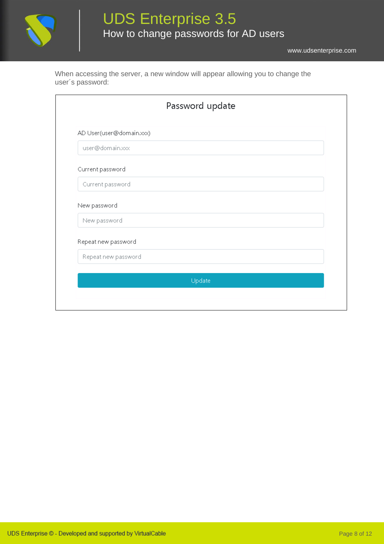

When accessing the server, a new window will appear allowing you to change the user´s password:

|                          | Password update |
|--------------------------|-----------------|
| AD User(user@domain.xxx) |                 |
| user@domain.xxx          |                 |
| Current password         |                 |
| Current password         |                 |
| New password             |                 |
| New password             |                 |
| Repeat new password      |                 |
| Repeat new password      |                 |
|                          | Update          |
|                          |                 |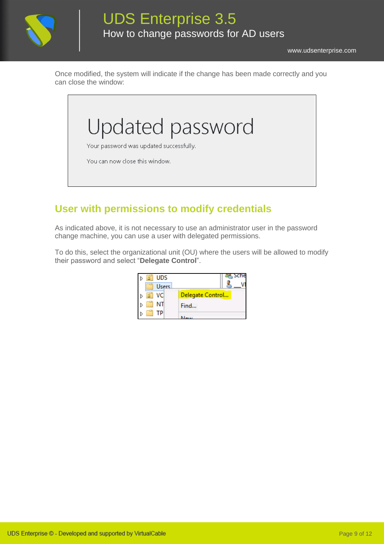

Once modified, the system will indicate if the change has been made correctly and you can close the window:



## **User with permissions to modify credentials**

As indicated above, it is not necessary to use an administrator user in the password change machine, you can use a user with delegated permissions.

To do this, select the organizational unit (OU) where the users will be allowed to modify their password and select "**Delegate Control**".

| <b>UDS</b>   |                  |
|--------------|------------------|
| <b>Users</b> |                  |
| VO.          | Delegate Control |
| NΤ           | Find             |
| Ρ            |                  |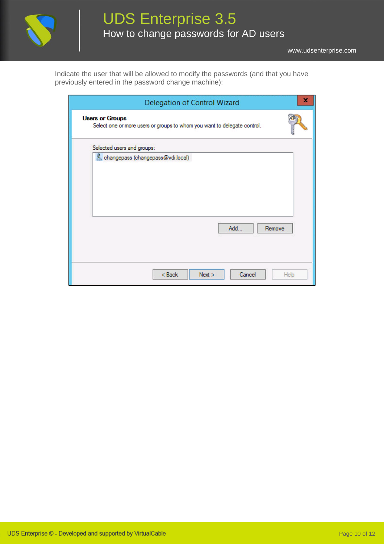

Indicate the user that will be allowed to modify the passwords (and that you have previously entered in the password change machine):

| Delegation of Control Wizard                                                                       |        |
|----------------------------------------------------------------------------------------------------|--------|
| <b>Users or Groups</b><br>Select one or more users or groups to whom you want to delegate control. |        |
| Selected users and groups:                                                                         |        |
| changepass (changepass@vdi.local)                                                                  |        |
| Add                                                                                                | Remove |
| < Back<br>Next<br>Cancel                                                                           | Help   |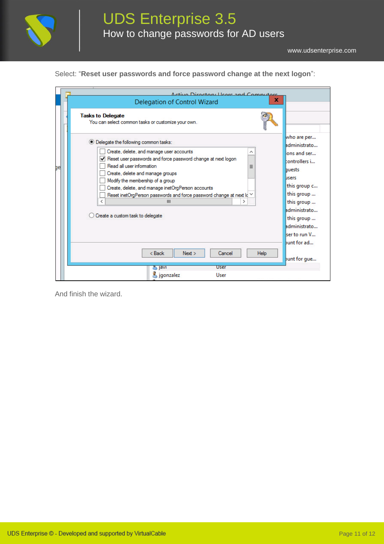

Select: "**Reset user passwords and force password change at the next logon**":

|                          | Active Directory Heart and Computers                                                                                                                                                                                                                                                                                                                                                                                                    |                                                                                                                                                                                                  |
|--------------------------|-----------------------------------------------------------------------------------------------------------------------------------------------------------------------------------------------------------------------------------------------------------------------------------------------------------------------------------------------------------------------------------------------------------------------------------------|--------------------------------------------------------------------------------------------------------------------------------------------------------------------------------------------------|
|                          | x<br>Delegation of Control Wizard                                                                                                                                                                                                                                                                                                                                                                                                       |                                                                                                                                                                                                  |
| <b>Tasks to Delegate</b> | You can select common tasks or customize your own.                                                                                                                                                                                                                                                                                                                                                                                      |                                                                                                                                                                                                  |
|                          | ● Delegate the following common tasks:<br>Create, delete, and manage user accounts<br>Reset user passwords and force password change at next logon<br>Read all user information<br>Ξ<br>Create, delete and manage groups<br>Modify the membership of a group<br>Create, delete, and manage inetOrgPerson accounts<br>Reset inetOrgPerson passwords and force password change at next lo V<br>Ш<br>⋗<br>Create a custom task to delegate | who are per<br>administrato<br>ons and ser<br>controllers i<br>buests<br><b>lisers</b><br>this group c<br>this group<br>this group<br>administrato<br>this group<br>administrato<br>ser to run V |
|                          | $8$ Back<br>Next<br>Cancel<br><b>Help</b>                                                                                                                                                                                                                                                                                                                                                                                               | bunt for ad<br>bunt for que                                                                                                                                                                      |
|                          | <b>User</b><br><b>Javi</b>                                                                                                                                                                                                                                                                                                                                                                                                              |                                                                                                                                                                                                  |

And finish the wizard.